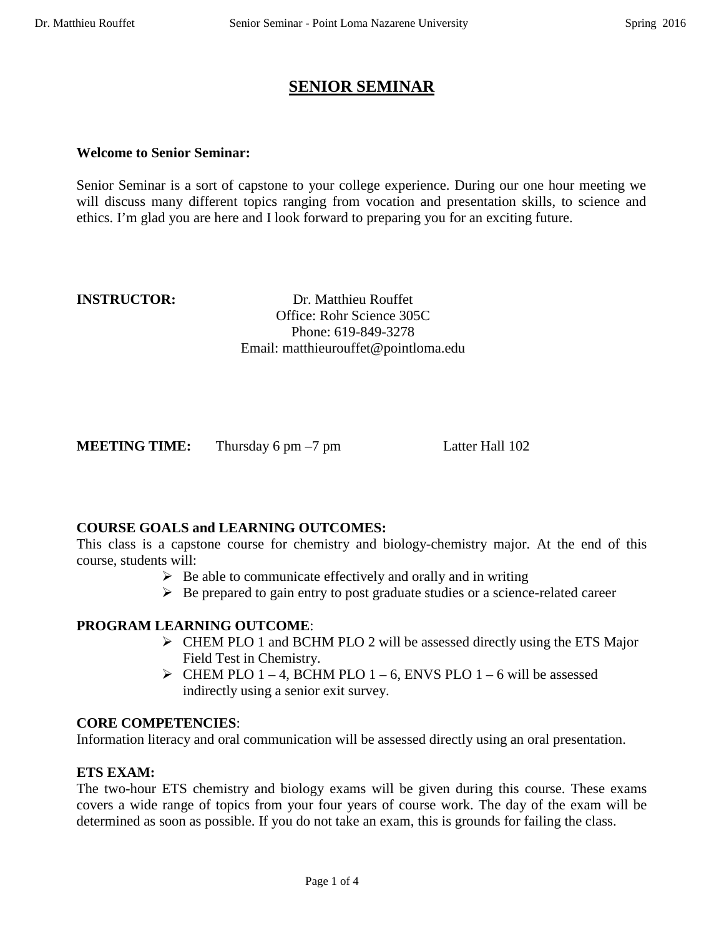## **SENIOR SEMINAR**

#### **Welcome to Senior Seminar:**

Senior Seminar is a sort of capstone to your college experience. During our one hour meeting we will discuss many different topics ranging from vocation and presentation skills, to science and ethics. I'm glad you are here and I look forward to preparing you for an exciting future.

**INSTRUCTOR:** Dr. Matthieu Rouffet Office: Rohr Science 305C Phone: 619-849-3278 Email: matthieurouffet@pointloma.edu

**MEETING TIME:** Thursday 6 pm –7 pm Latter Hall 102

#### **COURSE GOALS and LEARNING OUTCOMES:**

This class is a capstone course for chemistry and biology-chemistry major. At the end of this course, students will:

- $\triangleright$  Be able to communicate effectively and orally and in writing
- $\triangleright$  Be prepared to gain entry to post graduate studies or a science-related career

#### **PROGRAM LEARNING OUTCOME**:

- $\triangleright$  CHEM PLO 1 and BCHM PLO 2 will be assessed directly using the ETS Major Field Test in Chemistry.
- $\triangleright$  CHEM PLO 1 4, BCHM PLO 1 6, ENVS PLO 1 6 will be assessed indirectly using a senior exit survey.

#### **CORE COMPETENCIES**:

Information literacy and oral communication will be assessed directly using an oral presentation.

#### **ETS EXAM:**

The two-hour ETS chemistry and biology exams will be given during this course. These exams covers a wide range of topics from your four years of course work. The day of the exam will be determined as soon as possible. If you do not take an exam, this is grounds for failing the class.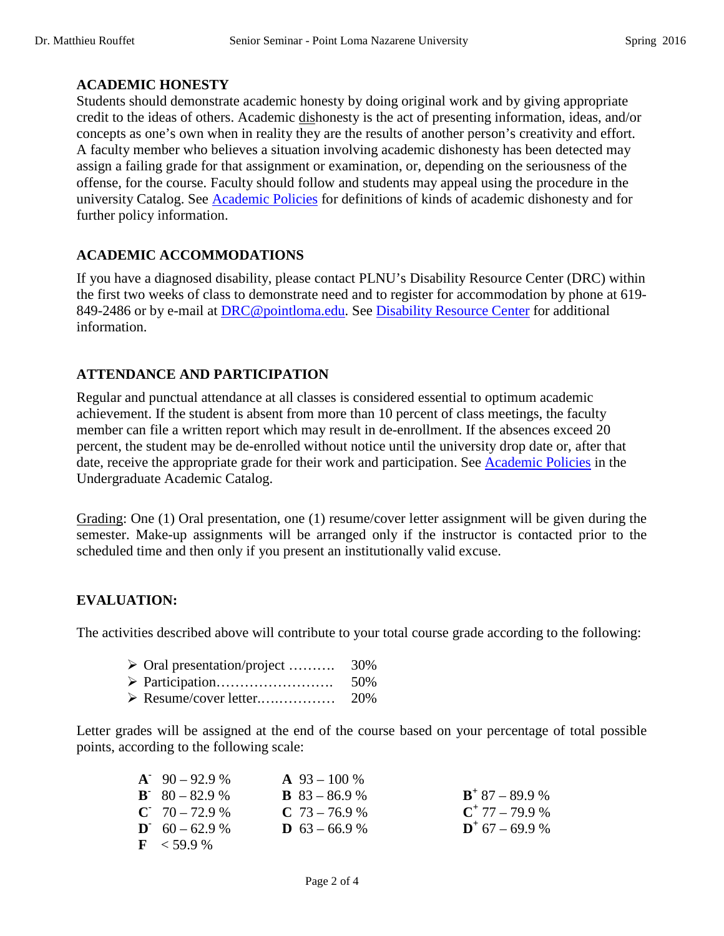#### **ACADEMIC HONESTY**

Students should demonstrate academic honesty by doing original work and by giving appropriate credit to the ideas of others. Academic dishonesty is the act of presenting information, ideas, and/or concepts as one's own when in reality they are the results of another person's creativity and effort. A faculty member who believes a situation involving academic dishonesty has been detected may assign a failing grade for that assignment or examination, or, depending on the seriousness of the offense, for the course. Faculty should follow and students may appeal using the procedure in the university Catalog. See [Academic Policies](http://catalog.pointloma.edu/content.php?catoid=18&navoid=1278) for definitions of kinds of academic dishonesty and for further policy information.

#### **ACADEMIC ACCOMMODATIONS**

If you have a diagnosed disability, please contact PLNU's Disability Resource Center (DRC) within the first two weeks of class to demonstrate need and to register for accommodation by phone at 619- 849-2486 or by e-mail at [DRC@pointloma.edu.](mailto:DRC@pointloma.edu) See [Disability Resource Center](http://www.pointloma.edu/experience/offices/administrative-offices/academic-advising-office/disability-resource-center) for additional information.

### **ATTENDANCE AND PARTICIPATION**

Regular and punctual attendance at all classes is considered essential to optimum academic achievement. If the student is absent from more than 10 percent of class meetings, the faculty member can file a written report which may result in de-enrollment. If the absences exceed 20 percent, the student may be de-enrolled without notice until the university drop date or, after that date, receive the appropriate grade for their work and participation. See [Academic Policies](http://catalog.pointloma.edu/content.php?catoid=18&navoid=1278) in the Undergraduate Academic Catalog.

Grading: One (1) Oral presentation, one (1) resume/cover letter assignment will be given during the semester. Make-up assignments will be arranged only if the instructor is contacted prior to the scheduled time and then only if you present an institutionally valid excuse.

#### **EVALUATION:**

The activities described above will contribute to your total course grade according to the following:

|  | $\triangleright$ Oral presentation/project | 30% |
|--|--------------------------------------------|-----|
|--|--------------------------------------------|-----|

- Participation……………………. 50%
- Resume/cover letter.….………… 20%

Letter grades will be assigned at the end of the course based on your percentage of total possible points, according to the following scale:

| $A^{\dagger}$ 90 – 92.9 %          | $\mathbf{A}$ 93 – 100 % |                              |
|------------------------------------|-------------------------|------------------------------|
| $B^{\sim} 80 - 82.9 \%$            | <b>B</b> $83 - 86.9$ %  | $\mathbf{B}^+$ 87 – 89.9 %   |
| $C = 70 - 72.9$ %                  | $C$ 73 – 76.9 %         | $C^+$ 77 – 79.9 %            |
| $\mathbf{D}^{\bullet}$ 60 – 62.9 % | <b>D</b> $63 - 66.9$ %  | $\mathbf{D}^{+}$ 67 – 69.9 % |
| $\mathbf{F}$ < 59.9 %              |                         |                              |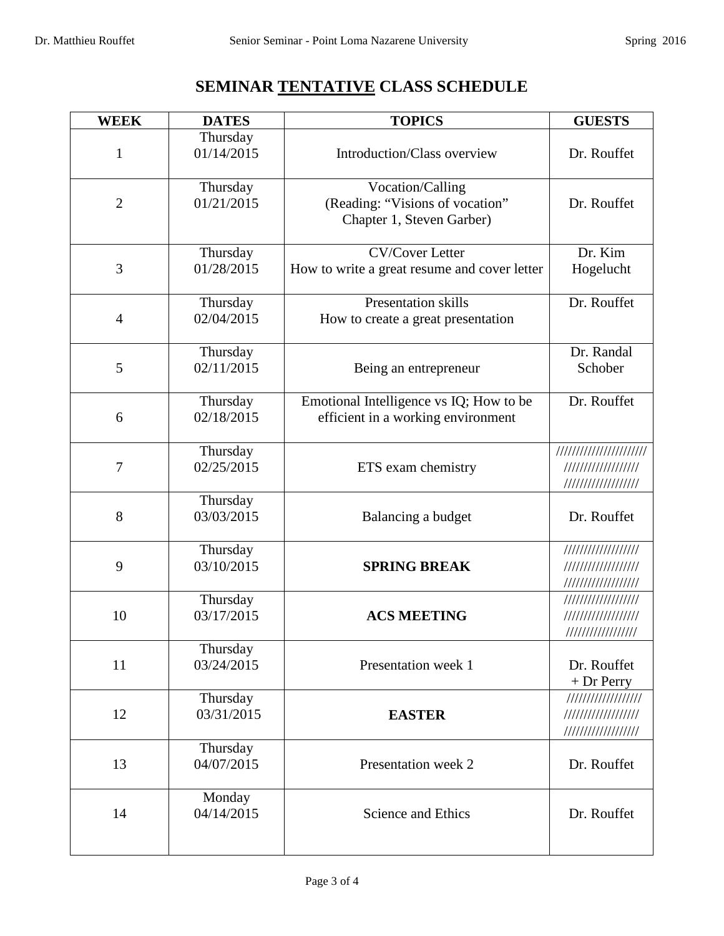# **SEMINAR TENTATIVE CLASS SCHEDULE**

| <b>WEEK</b>    | <b>DATES</b>           | <b>TOPICS</b>                                                                    | <b>GUESTS</b>                                                 |
|----------------|------------------------|----------------------------------------------------------------------------------|---------------------------------------------------------------|
| $\mathbf{1}$   | Thursday<br>01/14/2015 | Introduction/Class overview                                                      | Dr. Rouffet                                                   |
| $\overline{2}$ | Thursday<br>01/21/2015 | Vocation/Calling<br>(Reading: "Visions of vocation"<br>Chapter 1, Steven Garber) | Dr. Rouffet                                                   |
| 3              | Thursday<br>01/28/2015 | <b>CV/Cover Letter</b><br>How to write a great resume and cover letter           | Dr. Kim<br>Hogelucht                                          |
| $\overline{4}$ | Thursday<br>02/04/2015 | Presentation skills<br>How to create a great presentation                        | Dr. Rouffet                                                   |
| 5              | Thursday<br>02/11/2015 | Being an entrepreneur                                                            | Dr. Randal<br>Schober                                         |
| 6              | Thursday<br>02/18/2015 | Emotional Intelligence vs IQ; How to be<br>efficient in a working environment    | Dr. Rouffet                                                   |
| 7              | Thursday<br>02/25/2015 | ETS exam chemistry                                                               | ///////////////////////<br>//////////////////                 |
| 8              | Thursday<br>03/03/2015 | Balancing a budget                                                               | Dr. Rouffet                                                   |
| 9              | Thursday<br>03/10/2015 | <b>SPRING BREAK</b>                                                              | //////////////////<br>//////////////////                      |
| 10             | Thursday<br>03/17/2015 | <b>ACS MEETING</b>                                                               | //////////////////<br>//////////////////<br>///////////////// |
| 11             | Thursday<br>03/24/2015 | Presentation week 1                                                              | Dr. Rouffet<br>$+Dr$ Perry                                    |
| 12             | Thursday<br>03/31/2015 | <b>EASTER</b>                                                                    | //////////////////<br>//////////////////                      |
| 13             | Thursday<br>04/07/2015 | Presentation week 2                                                              | Dr. Rouffet                                                   |
| 14             | Monday<br>04/14/2015   | Science and Ethics                                                               | Dr. Rouffet                                                   |